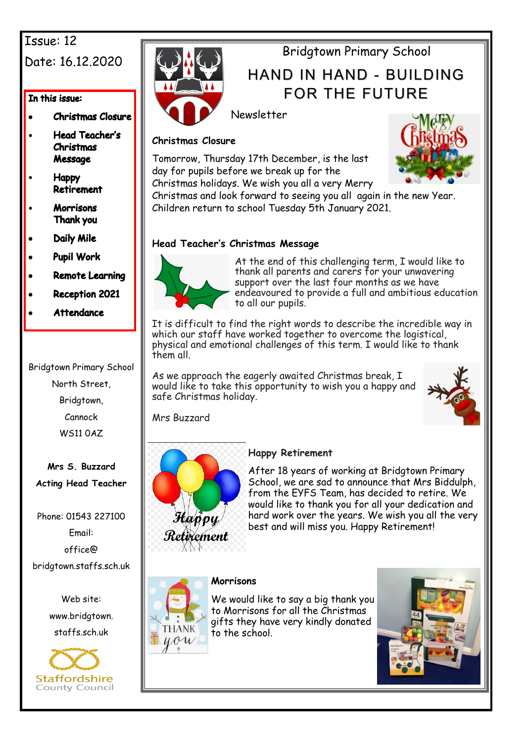# Issue: 12

# Date: 16.12.2020

#### In this issue:

- **Christmas Closure**
- **Head Teacher's** • **Christmas** Message
- **Happy** Retirement
- **Morrisons** • Thank you
- **Daily Mile**
- **Pupil Work**
- **Remote Learning**
- **Reception 2021**
- **Attendance**

Bridgtown Primary School North Street, Bridgtown, Cannock WS11 0AZ

**Mrs S. Buzzard Acting Head Teacher**

Phone: 01543 227100 Email: office@ bridgtown.staffs.sch.uk

> Web site: www.bridgtown. staffs.sch.uk





# Bridgtown Primary School

# HAND IN HAND - BUILDING FOR THE FUTURE

Newsletter

### **Christmas Closure**

Tomorrow, Thursday 17th December, is the last day for pupils before we break up for the Christmas holidays. We wish you all a very Merry



Christmas and look forward to seeing you all again in the new Year. Children return to school Tuesday 5th January 2021.

## **Head Teacher's Christmas Message**



At the end of this challenging term, I would like to thank all parents and carers for your unwavering support over the last four months as we have endeavoured to provide a full and ambitious education to all our pupils.

It is difficult to find the right words to describe the incredible way in which our staff have worked together to overcome the logistical, physical and emotional challenges of this term. I would like to thank them all.

As we approach the eagerly awaited Christmas break, I would like to take this opportunity to wish you a happy and safe Christmas holiday.



Mrs Buzzard



## **Happy Retirement**

After 18 years of working at Bridgtown Primary School, we are sad to announce that Mrs Biddulph. from the EYFS Team, has decided to retire. We would like to thank you for all your dedication and hard work over the years. We wish you all the very best and will miss you. Happy Retirement!



**THANK**  $u$ ow

We would like to say a big thank you to Morrisons for all the Christmas gifts they have very kindly donated to the school.